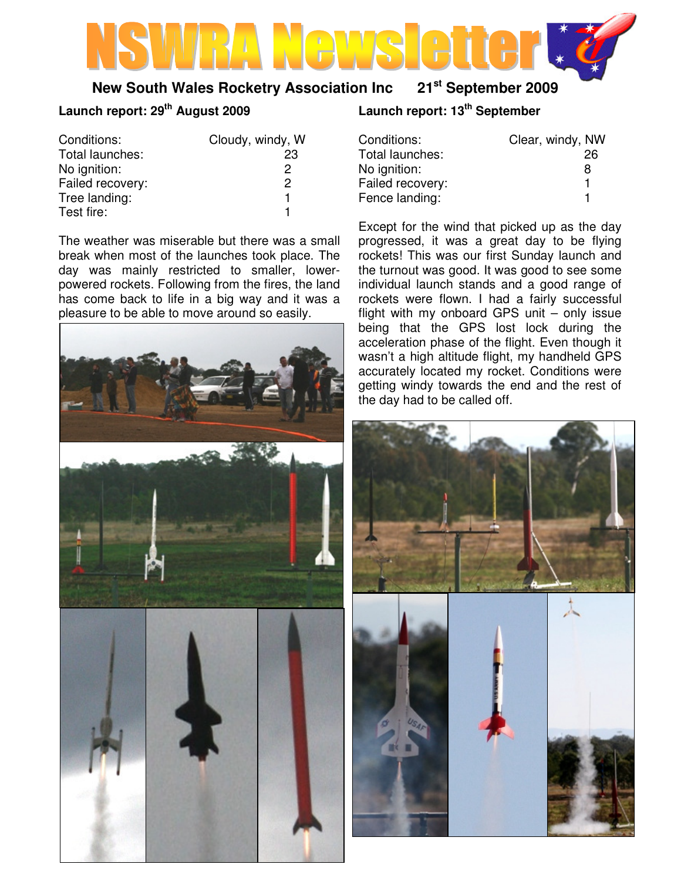## **New South Wales Rocketry Association Inc 21st September 2009**

## **Launch report: 29th August 2009**

| Conditions:      | Cloudy, windy, W |
|------------------|------------------|
| Total launches:  | 23               |
| No ignition:     | 2                |
| Failed recovery: | 2                |
| Tree landing:    |                  |
| Test fire:       |                  |

The weather was miserable but there was a small break when most of the launches took place. The day was mainly restricted to smaller, lowerpowered rockets. Following from the fires, the land has come back to life in a big way and it was a pleasure to be able to move around so easily.



# **Launch report: 13th September**

| Conditions:      | Clear, windy, NW |    |
|------------------|------------------|----|
| Total launches:  |                  | 26 |
| No ignition:     |                  | 8  |
| Failed recovery: |                  | 1  |
| Fence landing:   |                  | 1  |

Except for the wind that picked up as the day progressed, it was a great day to be flying rockets! This was our first Sunday launch and the turnout was good. It was good to see some individual launch stands and a good range of rockets were flown. I had a fairly successful flight with my onboard GPS unit – only issue being that the GPS lost lock during the acceleration phase of the flight. Even though it wasn't a high altitude flight, my handheld GPS accurately located my rocket. Conditions were getting windy towards the end and the rest of the day had to be called off.